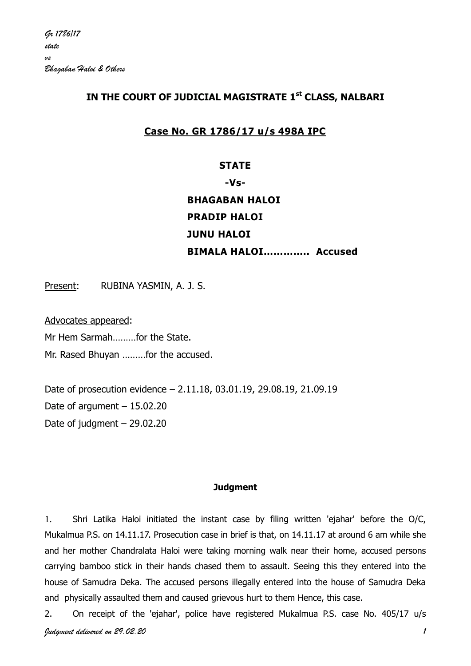# **IN THE COURT OF JUDICIAL MAGISTRATE 1st CLASS, NALBARI**

# **Case No. GR 1786/17 u/s 498A IPC**

# **STATE -Vs-BHAGABAN HALOI PRADIP HALOI JUNU HALOI BIMALA HALOI………….. Accused**

Present: RUBINA YASMIN, A. J. S.

Advocates appeared:

Mr Hem Sarmah………for the State.

Mr. Rased Bhuyan ………for the accused.

Date of prosecution evidence – 2.11.18, 03.01.19, 29.08.19, 21.09.19 Date of argument  $-15.02.20$ Date of judgment – 29.02.20

## **Judgment**

1. Shri Latika Haloi initiated the instant case by filing written 'ejahar' before the O/C, Mukalmua P.S. on 14.11.17. Prosecution case in brief is that, on 14.11.17 at around 6 am while she and her mother Chandralata Haloi were taking morning walk near their home, accused persons carrying bamboo stick in their hands chased them to assault. Seeing this they entered into the house of Samudra Deka. The accused persons illegally entered into the house of Samudra Deka and physically assaulted them and caused grievous hurt to them Hence, this case.

*Judgment delivered on 29.02.20 1* 2. On receipt of the 'ejahar', police have registered Mukalmua P.S. case No. 405/17 u/s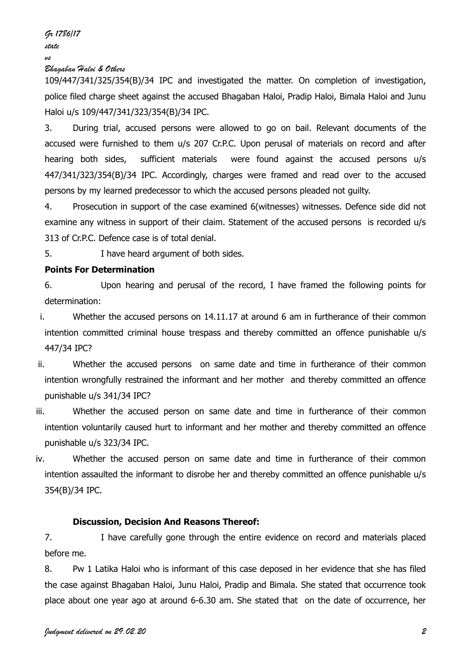*Gr 1786/17 state vs*

## *Bhagaban Haloi & Others*

109/447/341/325/354(B)/34 IPC and investigated the matter. On completion of investigation, police filed charge sheet against the accused Bhagaban Haloi, Pradip Haloi, Bimala Haloi and Junu Haloi u/s 109/447/341/323/354(B)/34 IPC.

3. During trial, accused persons were allowed to go on bail. Relevant documents of the accused were furnished to them u/s 207 Cr.P.C. Upon perusal of materials on record and after hearing both sides, sufficient materials were found against the accused persons u/s 447/341/323/354(B)/34 IPC. Accordingly, charges were framed and read over to the accused persons by my learned predecessor to which the accused persons pleaded not guilty.

4. Prosecution in support of the case examined 6(witnesses) witnesses. Defence side did not examine any witness in support of their claim. Statement of the accused persons is recorded u/s 313 of Cr.P.C. Defence case is of total denial.

5. I have heard argument of both sides.

## **Points For Determination**

6. Upon hearing and perusal of the record, I have framed the following points for determination:

- i. Whether the accused persons on 14.11.17 at around 6 am in furtherance of their common intention committed criminal house trespass and thereby committed an offence punishable u/s 447/34 IPC?
- ii. Whether the accused persons on same date and time in furtherance of their common intention wrongfully restrained the informant and her mother and thereby committed an offence punishable u/s 341/34 IPC?
- iii. Whether the accused person on same date and time in furtherance of their common intention voluntarily caused hurt to informant and her mother and thereby committed an offence punishable u/s 323/34 IPC.
- iv. Whether the accused person on same date and time in furtherance of their common intention assaulted the informant to disrobe her and thereby committed an offence punishable u/s 354(B)/34 IPC.

#### **Discussion, Decision And Reasons Thereof:**

7. I have carefully gone through the entire evidence on record and materials placed before me.

8. Pw 1 Latika Haloi who is informant of this case deposed in her evidence that she has filed the case against Bhagaban Haloi, Junu Haloi, Pradip and Bimala. She stated that occurrence took place about one year ago at around 6-6.30 am. She stated that on the date of occurrence, her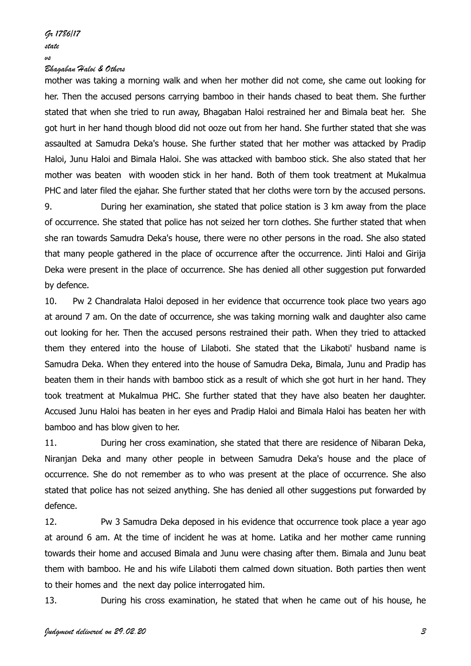#### *Bhagaban Haloi & Others*

mother was taking a morning walk and when her mother did not come, she came out looking for her. Then the accused persons carrying bamboo in their hands chased to beat them. She further stated that when she tried to run away, Bhagaban Haloi restrained her and Bimala beat her. She got hurt in her hand though blood did not ooze out from her hand. She further stated that she was assaulted at Samudra Deka's house. She further stated that her mother was attacked by Pradip Haloi, Junu Haloi and Bimala Haloi. She was attacked with bamboo stick. She also stated that her mother was beaten with wooden stick in her hand. Both of them took treatment at Mukalmua PHC and later filed the ejahar. She further stated that her cloths were torn by the accused persons.

9. During her examination, she stated that police station is 3 km away from the place of occurrence. She stated that police has not seized her torn clothes. She further stated that when she ran towards Samudra Deka's house, there were no other persons in the road. She also stated that many people gathered in the place of occurrence after the occurrence. Jinti Haloi and Girija Deka were present in the place of occurrence. She has denied all other suggestion put forwarded by defence.

10. Pw 2 Chandralata Haloi deposed in her evidence that occurrence took place two years ago at around 7 am. On the date of occurrence, she was taking morning walk and daughter also came out looking for her. Then the accused persons restrained their path. When they tried to attacked them they entered into the house of Lilaboti. She stated that the Likaboti' husband name is Samudra Deka. When they entered into the house of Samudra Deka, Bimala, Junu and Pradip has beaten them in their hands with bamboo stick as a result of which she got hurt in her hand. They took treatment at Mukalmua PHC. She further stated that they have also beaten her daughter. Accused Junu Haloi has beaten in her eyes and Pradip Haloi and Bimala Haloi has beaten her with bamboo and has blow given to her.

11. During her cross examination, she stated that there are residence of Nibaran Deka, Niranjan Deka and many other people in between Samudra Deka's house and the place of occurrence. She do not remember as to who was present at the place of occurrence. She also stated that police has not seized anything. She has denied all other suggestions put forwarded by defence.

12. Pw 3 Samudra Deka deposed in his evidence that occurrence took place a year ago at around 6 am. At the time of incident he was at home. Latika and her mother came running towards their home and accused Bimala and Junu were chasing after them. Bimala and Junu beat them with bamboo. He and his wife Lilaboti them calmed down situation. Both parties then went to their homes and the next day police interrogated him.

13. During his cross examination, he stated that when he came out of his house, he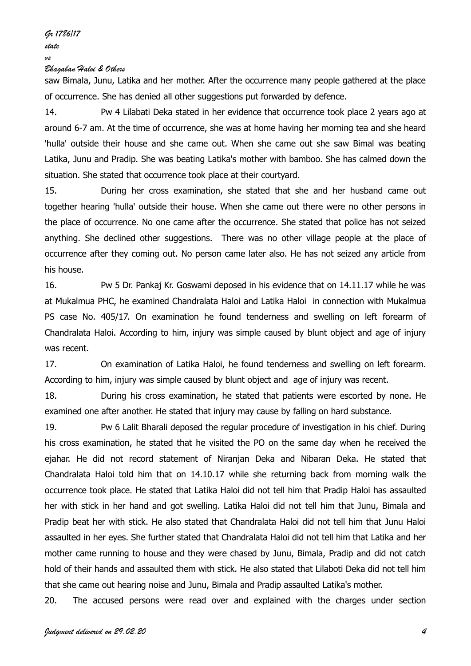*Gr 1786/17 state*

*vs*

### *Bhagaban Haloi & Others*

saw Bimala, Junu, Latika and her mother. After the occurrence many people gathered at the place of occurrence. She has denied all other suggestions put forwarded by defence.

14. Pw 4 Lilabati Deka stated in her evidence that occurrence took place 2 years ago at around 6-7 am. At the time of occurrence, she was at home having her morning tea and she heard 'hulla' outside their house and she came out. When she came out she saw Bimal was beating Latika, Junu and Pradip. She was beating Latika's mother with bamboo. She has calmed down the situation. She stated that occurrence took place at their courtyard.

15. During her cross examination, she stated that she and her husband came out together hearing 'hulla' outside their house. When she came out there were no other persons in the place of occurrence. No one came after the occurrence. She stated that police has not seized anything. She declined other suggestions. There was no other village people at the place of occurrence after they coming out. No person came later also. He has not seized any article from his house.

16. Pw 5 Dr. Pankaj Kr. Goswami deposed in his evidence that on 14.11.17 while he was at Mukalmua PHC, he examined Chandralata Haloi and Latika Haloi in connection with Mukalmua PS case No. 405/17. On examination he found tenderness and swelling on left forearm of Chandralata Haloi. According to him, injury was simple caused by blunt object and age of injury was recent.

17. On examination of Latika Haloi, he found tenderness and swelling on left forearm. According to him, injury was simple caused by blunt object and age of injury was recent.

18. During his cross examination, he stated that patients were escorted by none. He examined one after another. He stated that injury may cause by falling on hard substance.

19. Pw 6 Lalit Bharali deposed the regular procedure of investigation in his chief. During his cross examination, he stated that he visited the PO on the same day when he received the ejahar. He did not record statement of Niranjan Deka and Nibaran Deka. He stated that Chandralata Haloi told him that on 14.10.17 while she returning back from morning walk the occurrence took place. He stated that Latika Haloi did not tell him that Pradip Haloi has assaulted her with stick in her hand and got swelling. Latika Haloi did not tell him that Junu, Bimala and Pradip beat her with stick. He also stated that Chandralata Haloi did not tell him that Junu Haloi assaulted in her eyes. She further stated that Chandralata Haloi did not tell him that Latika and her mother came running to house and they were chased by Junu, Bimala, Pradip and did not catch hold of their hands and assaulted them with stick. He also stated that Lilaboti Deka did not tell him that she came out hearing noise and Junu, Bimala and Pradip assaulted Latika's mother.

20. The accused persons were read over and explained with the charges under section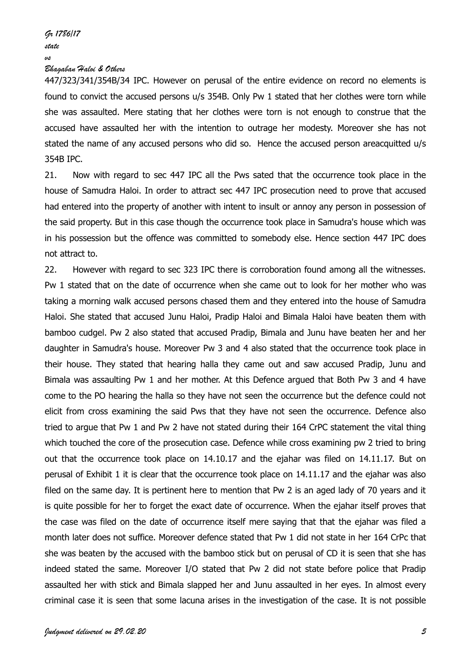#### *Bhagaban Haloi & Others*

447/323/341/354B/34 IPC. However on perusal of the entire evidence on record no elements is found to convict the accused persons u/s 354B. Only Pw 1 stated that her clothes were torn while she was assaulted. Mere stating that her clothes were torn is not enough to construe that the accused have assaulted her with the intention to outrage her modesty. Moreover she has not stated the name of any accused persons who did so. Hence the accused person areacquitted u/s 354B IPC.

21. Now with regard to sec 447 IPC all the Pws sated that the occurrence took place in the house of Samudra Haloi. In order to attract sec 447 IPC prosecution need to prove that accused had entered into the property of another with intent to insult or annoy any person in possession of the said property. But in this case though the occurrence took place in Samudra's house which was in his possession but the offence was committed to somebody else. Hence section 447 IPC does not attract to.

22. However with regard to sec 323 IPC there is corroboration found among all the witnesses. Pw 1 stated that on the date of occurrence when she came out to look for her mother who was taking a morning walk accused persons chased them and they entered into the house of Samudra Haloi. She stated that accused Junu Haloi, Pradip Haloi and Bimala Haloi have beaten them with bamboo cudgel. Pw 2 also stated that accused Pradip, Bimala and Junu have beaten her and her daughter in Samudra's house. Moreover Pw 3 and 4 also stated that the occurrence took place in their house. They stated that hearing halla they came out and saw accused Pradip, Junu and Bimala was assaulting Pw 1 and her mother. At this Defence argued that Both Pw 3 and 4 have come to the PO hearing the halla so they have not seen the occurrence but the defence could not elicit from cross examining the said Pws that they have not seen the occurrence. Defence also tried to argue that Pw 1 and Pw 2 have not stated during their 164 CrPC statement the vital thing which touched the core of the prosecution case. Defence while cross examining pw 2 tried to bring out that the occurrence took place on 14.10.17 and the ejahar was filed on 14.11.17. But on perusal of Exhibit 1 it is clear that the occurrence took place on 14.11.17 and the ejahar was also filed on the same day. It is pertinent here to mention that Pw 2 is an aged lady of 70 years and it is quite possible for her to forget the exact date of occurrence. When the ejahar itself proves that the case was filed on the date of occurrence itself mere saying that that the ejahar was filed a month later does not suffice. Moreover defence stated that Pw 1 did not state in her 164 CrPc that she was beaten by the accused with the bamboo stick but on perusal of CD it is seen that she has indeed stated the same. Moreover I/O stated that Pw 2 did not state before police that Pradip assaulted her with stick and Bimala slapped her and Junu assaulted in her eyes. In almost every criminal case it is seen that some lacuna arises in the investigation of the case. It is not possible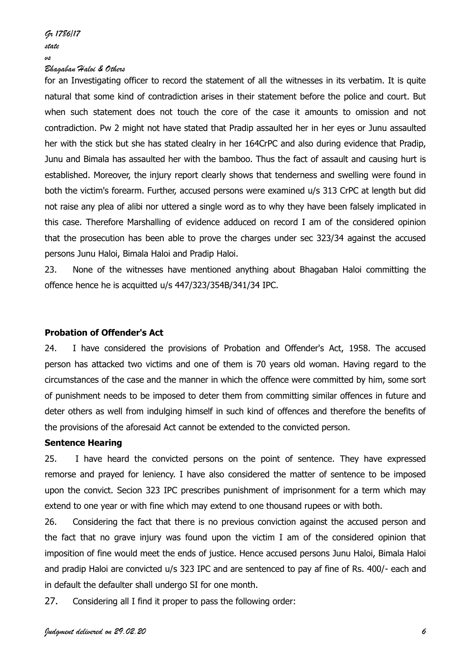#### *Bhagaban Haloi & Others*

for an Investigating officer to record the statement of all the witnesses in its verbatim. It is quite natural that some kind of contradiction arises in their statement before the police and court. But when such statement does not touch the core of the case it amounts to omission and not contradiction. Pw 2 might not have stated that Pradip assaulted her in her eyes or Junu assaulted her with the stick but she has stated clealry in her 164CrPC and also during evidence that Pradip, Junu and Bimala has assaulted her with the bamboo. Thus the fact of assault and causing hurt is established. Moreover, the injury report clearly shows that tenderness and swelling were found in both the victim's forearm. Further, accused persons were examined u/s 313 CrPC at length but did not raise any plea of alibi nor uttered a single word as to why they have been falsely implicated in this case. Therefore Marshalling of evidence adduced on record I am of the considered opinion that the prosecution has been able to prove the charges under sec 323/34 against the accused persons Junu Haloi, Bimala Haloi and Pradip Haloi.

23. None of the witnesses have mentioned anything about Bhagaban Haloi committing the offence hence he is acquitted u/s 447/323/354B/341/34 IPC.

## **Probation of Offender's Act**

24. I have considered the provisions of Probation and Offender's Act, 1958. The accused person has attacked two victims and one of them is 70 years old woman. Having regard to the circumstances of the case and the manner in which the offence were committed by him, some sort of punishment needs to be imposed to deter them from committing similar offences in future and deter others as well from indulging himself in such kind of offences and therefore the benefits of the provisions of the aforesaid Act cannot be extended to the convicted person.

#### **Sentence Hearing**

25. I have heard the convicted persons on the point of sentence. They have expressed remorse and prayed for leniency. I have also considered the matter of sentence to be imposed upon the convict. Secion 323 IPC prescribes punishment of imprisonment for a term which may extend to one year or with fine which may extend to one thousand rupees or with both.

26. Considering the fact that there is no previous conviction against the accused person and the fact that no grave injury was found upon the victim I am of the considered opinion that imposition of fine would meet the ends of justice. Hence accused persons Junu Haloi, Bimala Haloi and pradip Haloi are convicted u/s 323 IPC and are sentenced to pay af fine of Rs. 400/- each and in default the defaulter shall undergo SI for one month.

27. Considering all I find it proper to pass the following order: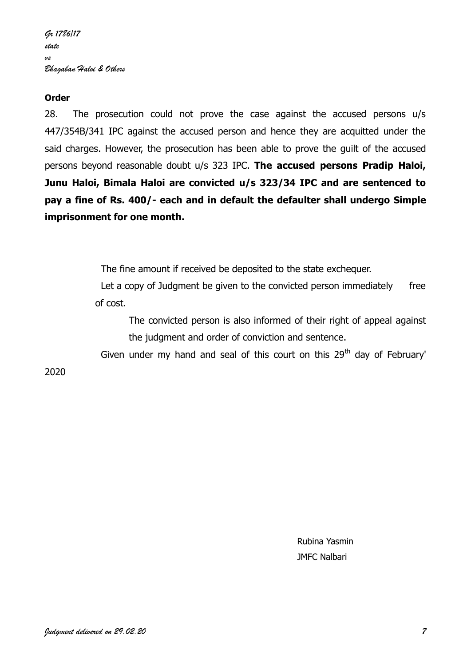# **Order**

28. The prosecution could not prove the case against the accused persons u/s 447/354B/341 IPC against the accused person and hence they are acquitted under the said charges. However, the prosecution has been able to prove the guilt of the accused persons beyond reasonable doubt u/s 323 IPC. **The accused persons Pradip Haloi, Junu Haloi, Bimala Haloi are convicted u/s 323/34 IPC and are sentenced to pay a fine of Rs. 400/- each and in default the defaulter shall undergo Simple imprisonment for one month.**

The fine amount if received be deposited to the state exchequer.

Let a copy of Judgment be given to the convicted person immediately free of cost.

The convicted person is also informed of their right of appeal against the judgment and order of conviction and sentence.

Given under my hand and seal of this court on this  $29<sup>th</sup>$  day of February'

## 2020

Rubina Yasmin JMFC Nalbari